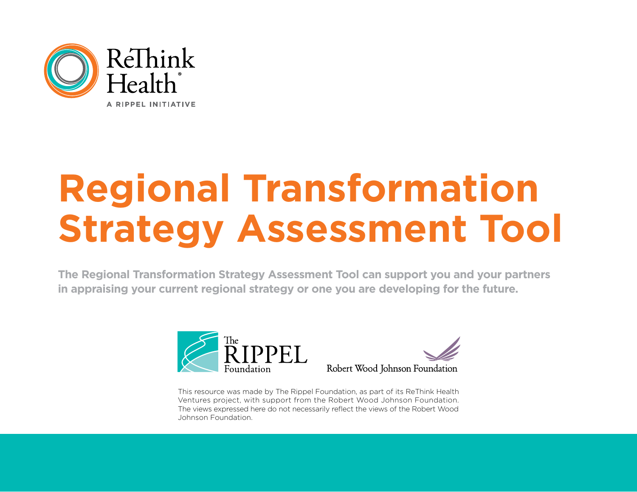

# **Regional Transformation Strategy Assessment Tool**

**The Regional Transformation Strategy Assessment Tool can support you and your partners in appraising your current regional strategy or one you are developing for the future.** 





This resource was made by The Rippel Foundation, as part of its ReThink Health Ventures project, with support from the Robert Wood Johnson Foundation. The views expressed here do not necessarily reflect the views of the Robert Wood Johnson Foundation.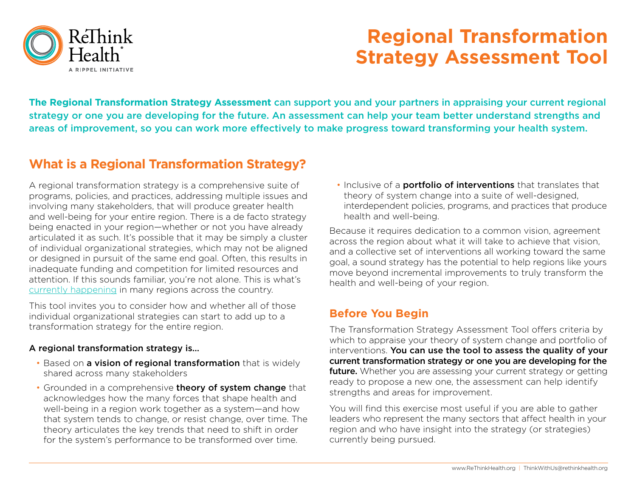

## **Regional Transformation Strategy Assessment Tool**

**The Regional Transformation Strategy Assessment** can support you and your partners in appraising your current regional strategy or one you are developing for the future. An assessment can help your team better understand strengths and areas of improvement, so you can work more effectively to make progress toward transforming your health system.

### **What is a Regional Transformation Strategy?**

A regional transformation strategy is a comprehensive suite of programs, policies, and practices, addressing multiple issues and involving many stakeholders, that will produce greater health and well-being for your entire region. There is a de facto strategy being enacted in your region—whether or not you have already articulated it as such. It's possible that it may be simply a cluster of individual organizational strategies, which may not be aligned or designed in pursuit of the same end goal. Often, this results in inadequate funding and competition for limited resources and attention. If this sounds familiar, you're not alone. This is what's [currently happening](https://www.rethinkhealth.org/resources/health-affairs-many-multisector-partnerships-not-yet-mature/) in many regions across the country.

This tool invites you to consider how and whether all of those individual organizational strategies can start to add up to a transformation strategy for the entire region.

#### A regional transformation strategy is…

- Based on a vision of regional transformation that is widely shared across many stakeholders
- Grounded in a comprehensive theory of system change that acknowledges how the many forces that shape health and well-being in a region work together as a system—and how that system tends to change, or resist change, over time. The theory articulates the key trends that need to shift in order for the system's performance to be transformed over time.

• Inclusive of a **portfolio of interventions** that translates that theory of system change into a suite of well-designed, interdependent policies, programs, and practices that produce health and well-being.

Because it requires dedication to a common vision, agreement across the region about what it will take to achieve that vision, and a collective set of interventions all working toward the same goal, a sound strategy has the potential to help regions like yours move beyond incremental improvements to truly transform the health and well-being of your region.

#### **Before You Begin**

The Transformation Strategy Assessment Tool offers criteria by which to appraise your theory of system change and portfolio of interventions. You can use the tool to assess the quality of your current transformation strategy or one you are developing for the future. Whether you are assessing your current strategy or getting ready to propose a new one, the assessment can help identify strengths and areas for improvement.

You will find this exercise most useful if you are able to gather leaders who represent the many sectors that affect health in your region and who have insight into the strategy (or strategies) currently being pursued.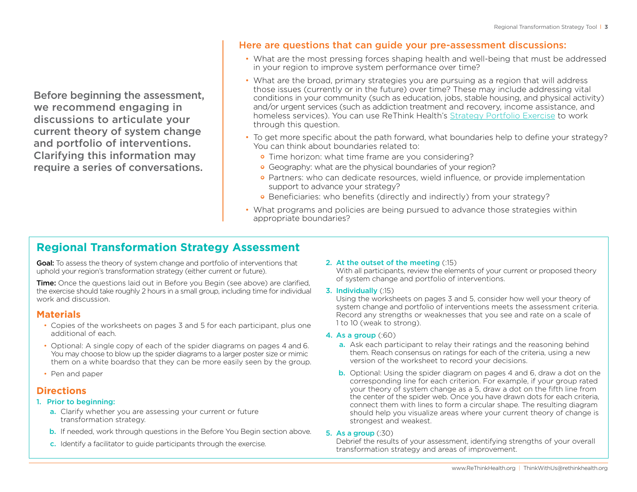Before beginning the assessment, we recommend engaging in discussions to articulate your current theory of system change and portfolio of interventions. Clarifying this information may require a series of conversations.

#### Here are questions that can guide your pre-assessment discussions:

- What are the most pressing forces shaping health and well-being that must be addressed in your region to improve system performance over time?
- What are the broad, primary strategies you are pursuing as a region that will address those issues (currently or in the future) over time? These may include addressing vital conditions in your community (such as education, jobs, stable housing, and physical activity) and/or urgent services (such as addiction treatment and recovery, income assistance, and homeless services). You can use ReThink Health's [Strategy Portfolio Exercise](https://www.rethinkhealth.org/resources/strategy-portfolio-exercise/) to work through this question.
- To get more specific about the path forward, what boundaries help to define your strategy? You can think about boundaries related to:
	- Time horizon: what time frame are you considering?
	- **•** Geography: what are the physical boundaries of your region?
	- Partners: who can dedicate resources, wield influence, or provide implementation support to advance your strategy?
	- Beneficiaries: who benefits (directly and indirectly) from your strategy?
- What programs and policies are being pursued to advance those strategies within appropriate boundaries?

#### **Regional Transformation Strategy Assessment**

Goal: To assess the theory of system change and portfolio of interventions that uphold your region's transformation strategy (either current or future).

**Time:** Once the questions laid out in Before you Begin (see above) are clarified. the exercise should take roughly 2 hours in a small group, including time for individual work and discussion.

#### **Materials**

- Copies of the worksheets on pages 3 and 5 for each participant, plus one additional of each.
- Optional: A single copy of each of the spider diagrams on pages 4 and 6. You may choose to blow up the spider diagrams to a larger poster size or mimic them on a white boardso that they can be more easily seen by the group.
- Pen and paper

#### **Directions**

- 1. Prior to beginning:
	- a. Clarify whether you are assessing your current or future transformation strategy.
	- **b.** If needed, work through questions in the Before You Begin section above.
	- c. Identify a facilitator to guide participants through the exercise.

#### 2. At the outset of the meeting (:15)

With all participants, review the elements of your current or proposed theory of system change and portfolio of interventions.

3. Individually (:15)

Using the worksheets on pages 3 and 5, consider how well your theory of system change and portfolio of interventions meets the assessment criteria. Record any strengths or weaknesses that you see and rate on a scale of 1 to 10 (weak to strong).

- 4. As a group (:60)
	- a. Ask each participant to relay their ratings and the reasoning behind them. Reach consensus on ratings for each of the criteria, using a new version of the worksheet to record your decisions.
	- b. Optional: Using the spider diagram on pages 4 and 6, draw a dot on the corresponding line for each criterion. For example, if your group rated your theory of system change as a 5, draw a dot on the fifth line from the center of the spider web. Once you have drawn dots for each criteria, connect them with lines to form a circular shape. The resulting diagram should help you visualize areas where your current theory of change is strongest and weakest.

#### 5. As a group (:30)

Debrief the results of your assessment, identifying strengths of your overall transformation strategy and areas of improvement.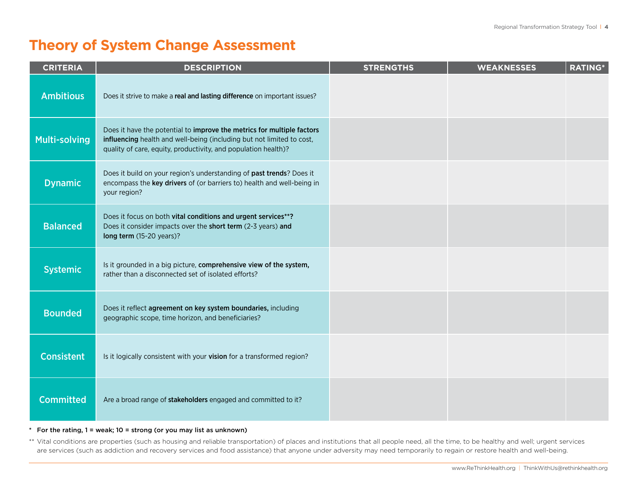## **Theory of System Change Assessment**

| <b>CRITERIA</b>      | <b>DESCRIPTION</b>                                                                                                                                                                                                | <b>STRENGTHS</b> | <b>WEAKNESSES</b> | <b>RATING*</b> |
|----------------------|-------------------------------------------------------------------------------------------------------------------------------------------------------------------------------------------------------------------|------------------|-------------------|----------------|
| <b>Ambitious</b>     | Does it strive to make a real and lasting difference on important issues?                                                                                                                                         |                  |                   |                |
| <b>Multi-solving</b> | Does it have the potential to improve the metrics for multiple factors<br>influencing health and well-being (including but not limited to cost,<br>quality of care, equity, productivity, and population health)? |                  |                   |                |
| <b>Dynamic</b>       | Does it build on your region's understanding of past trends? Does it<br>encompass the key drivers of (or barriers to) health and well-being in<br>your region?                                                    |                  |                   |                |
| <b>Balanced</b>      | Does it focus on both vital conditions and urgent services**?<br>Does it consider impacts over the short term (2-3 years) and<br>long term (15-20 years)?                                                         |                  |                   |                |
| <b>Systemic</b>      | Is it grounded in a big picture, comprehensive view of the system,<br>rather than a disconnected set of isolated efforts?                                                                                         |                  |                   |                |
| <b>Bounded</b>       | Does it reflect agreement on key system boundaries, including<br>geographic scope, time horizon, and beneficiaries?                                                                                               |                  |                   |                |
| <b>Consistent</b>    | Is it logically consistent with your vision for a transformed region?                                                                                                                                             |                  |                   |                |
| <b>Committed</b>     | Are a broad range of stakeholders engaged and committed to it?                                                                                                                                                    |                  |                   |                |

#### $*$  For the rating,  $1 =$  weak;  $10 =$  strong (or you may list as unknown)

\*\* Vital conditions are properties (such as housing and reliable transportation) of places and institutions that all people need, all the time, to be healthy and well; urgent services are services (such as addiction and recovery services and food assistance) that anyone under adversity may need temporarily to regain or restore health and well-being.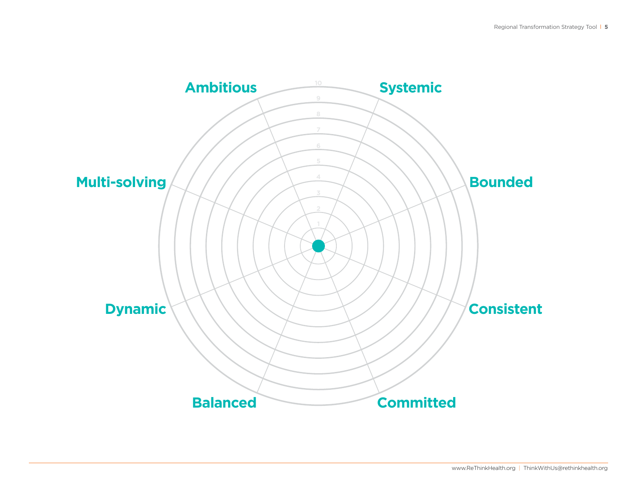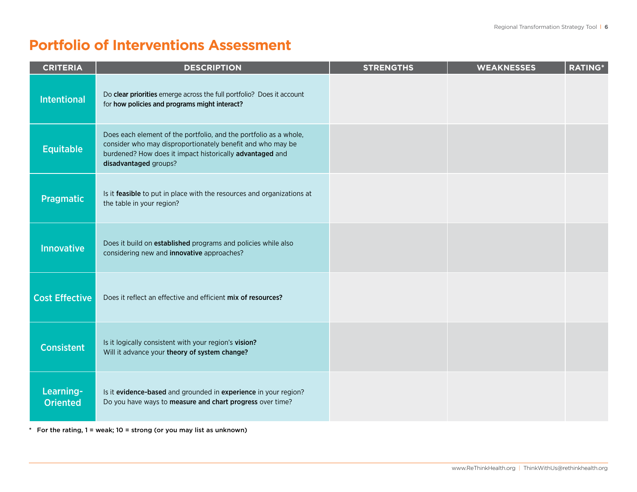## **Portfolio of Interventions Assessment**

| <b>CRITERIA</b>              | <b>DESCRIPTION</b>                                                                                                                                                                                                   | <b>STRENGTHS</b> | <b>WEAKNESSES</b> | <b>RATING*</b> |
|------------------------------|----------------------------------------------------------------------------------------------------------------------------------------------------------------------------------------------------------------------|------------------|-------------------|----------------|
| <b>Intentional</b>           | Do clear priorities emerge across the full portfolio? Does it account<br>for how policies and programs might interact?                                                                                               |                  |                   |                |
| <b>Equitable</b>             | Does each element of the portfolio, and the portfolio as a whole,<br>consider who may disproportionately benefit and who may be<br>burdened? How does it impact historically advantaged and<br>disadvantaged groups? |                  |                   |                |
| <b>Pragmatic</b>             | Is it feasible to put in place with the resources and organizations at<br>the table in your region?                                                                                                                  |                  |                   |                |
| <b>Innovative</b>            | Does it build on established programs and policies while also<br>considering new and innovative approaches?                                                                                                          |                  |                   |                |
| <b>Cost Effective</b>        | Does it reflect an effective and efficient mix of resources?                                                                                                                                                         |                  |                   |                |
| <b>Consistent</b>            | Is it logically consistent with your region's vision?<br>Will it advance your theory of system change?                                                                                                               |                  |                   |                |
| Learning-<br><b>Oriented</b> | Is it evidence-based and grounded in experience in your region?<br>Do you have ways to measure and chart progress over time?                                                                                         |                  |                   |                |

 $*$  For the rating,  $1 =$  weak;  $10 =$  strong (or you may list as unknown)